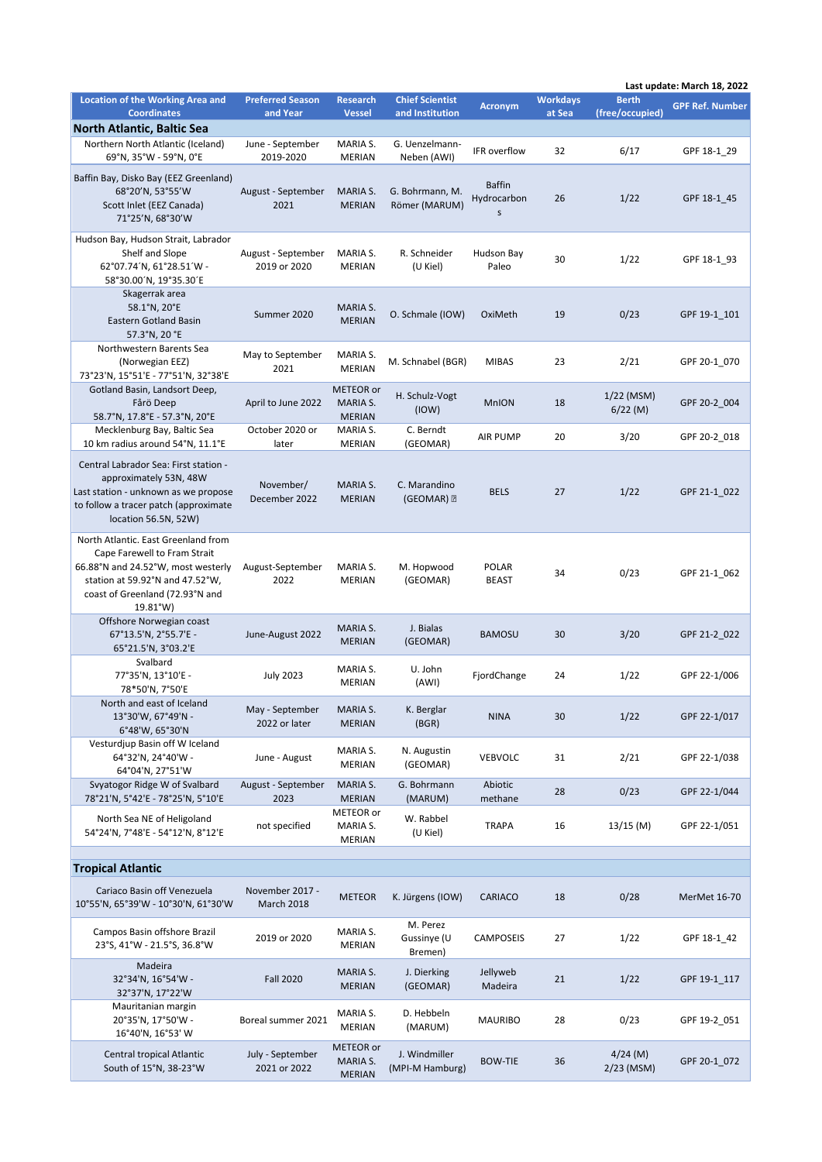|                                                                                                                                                                                             | Last update: March 18, 2022         |                                        |                                           |                                   |                           |                                 |                        |
|---------------------------------------------------------------------------------------------------------------------------------------------------------------------------------------------|-------------------------------------|----------------------------------------|-------------------------------------------|-----------------------------------|---------------------------|---------------------------------|------------------------|
| <b>Location of the Working Area and</b><br><b>Coordinates</b>                                                                                                                               | <b>Preferred Season</b><br>and Year | <b>Research</b><br><b>Vessel</b>       | <b>Chief Scientist</b><br>and Institution | <b>Acronym</b>                    | <b>Workdays</b><br>at Sea | <b>Berth</b><br>(free/occupied) | <b>GPF Ref. Number</b> |
| <b>North Atlantic, Baltic Sea</b>                                                                                                                                                           |                                     |                                        |                                           |                                   |                           |                                 |                        |
| Northern North Atlantic (Iceland)<br>69°N, 35°W - 59°N, 0°E                                                                                                                                 | June - September<br>2019-2020       | MARIA S.<br><b>MERIAN</b>              | G. Uenzelmann-<br>Neben (AWI)             | IFR overflow                      | 32                        | 6/17                            | GPF 18-1 29            |
| Baffin Bay, Disko Bay (EEZ Greenland)<br>68°20'N, 53°55'W<br>Scott Inlet (EEZ Canada)<br>71°25'N, 68°30'W                                                                                   | August - September<br>2021          | MARIA S.<br><b>MERIAN</b>              | G. Bohrmann, M.<br>Römer (MARUM)          | <b>Baffin</b><br>Hydrocarbon<br>S | 26                        | 1/22                            | GPF 18-1 45            |
| Hudson Bay, Hudson Strait, Labrador<br>Shelf and Slope<br>62°07.74'N, 61°28.51'W -<br>58°30.00'N, 19°35.30'E                                                                                | August - September<br>2019 or 2020  | MARIA S.<br><b>MERIAN</b>              | R. Schneider<br>(U Kiel)                  | Hudson Bay<br>Paleo               | 30                        | 1/22                            | GPF 18-1_93            |
| Skagerrak area<br>58.1°N, 20°E<br>Eastern Gotland Basin<br>57.3°N, 20 °E                                                                                                                    | Summer 2020                         | MARIA S.<br><b>MERIAN</b>              | O. Schmale (IOW)                          | OxiMeth                           | 19                        | 0/23                            | GPF 19-1 101           |
| Northwestern Barents Sea<br>(Norwegian EEZ)<br>73°23'N, 15°51'E - 77°51'N, 32°38'E                                                                                                          | May to September<br>2021            | MARIA S.<br><b>MERIAN</b>              | M. Schnabel (BGR)                         | <b>MIBAS</b>                      | 23                        | 2/21                            | GPF 20-1 070           |
| Gotland Basin, Landsort Deep,<br>Fårö Deep<br>58.7°N, 17.8°E - 57.3°N, 20°E                                                                                                                 | April to June 2022                  | METEOR or<br>MARIA S.<br><b>MERIAN</b> | H. Schulz-Vogt<br>(10W)                   | <b>MnION</b>                      | 18                        | 1/22 (MSM)<br>$6/22$ (M)        | GPF 20-2_004           |
| Mecklenburg Bay, Baltic Sea<br>10 km radius around 54°N, 11.1°E                                                                                                                             | October 2020 or<br>later            | MARIA S.<br><b>MERIAN</b>              | C. Berndt<br>(GEOMAR)                     | <b>AIR PUMP</b>                   | 20                        | 3/20                            | GPF 20-2_018           |
| Central Labrador Sea: First station -<br>approximately 53N, 48W<br>Last station - unknown as we propose<br>to follow a tracer patch (approximate<br>location 56.5N, 52W)                    | November/<br>December 2022          | MARIA S.<br><b>MERIAN</b>              | C. Marandino<br>$(GEOMAR)$ $\Box$         | <b>BELS</b>                       | 27                        | 1/22                            | GPF 21-1_022           |
| North Atlantic. East Greenland from<br>Cape Farewell to Fram Strait<br>66.88°N and 24.52°W, most westerly<br>station at 59.92°N and 47.52°W,<br>coast of Greenland (72.93°N and<br>19.81°W) | August-September<br>2022            | MARIA S.<br><b>MERIAN</b>              | M. Hopwood<br>(GEOMAR)                    | <b>POLAR</b><br><b>BEAST</b>      | 34                        | 0/23                            | GPF 21-1 062           |
| Offshore Norwegian coast<br>67°13.5'N, 2°55.7'E -<br>65°21.5'N, 3°03.2'E                                                                                                                    | June-August 2022                    | MARIA S.<br><b>MERIAN</b>              | J. Bialas<br>(GEOMAR)                     | <b>BAMOSU</b>                     | 30                        | 3/20                            | GPF 21-2 022           |
| Svalbard<br>77°35'N, 13°10'E -<br>78*50'N, 7°50'E                                                                                                                                           | <b>July 2023</b>                    | MARIA S.<br>MERIAN                     | U. John<br>(AWI)                          | FjordChange                       | 24                        | 1/22                            | GPF 22-1/006           |
| North and east of Iceland<br>13°30'W, 67°49'N -<br>6°48'W, 65°30'N                                                                                                                          | May - September<br>2022 or later    | MARIA S.<br><b>MERIAN</b>              | K. Berglar<br>(BGR)                       | <b>NINA</b>                       | 30                        | 1/22                            | GPF 22-1/017           |
| Vesturdjup Basin off W Iceland<br>64°32'N, 24°40'W -<br>64°04'N, 27°51'W                                                                                                                    | June - August                       | MARIA S.<br><b>MERIAN</b>              | N. Augustin<br>(GEOMAR)                   | <b>VEBVOLC</b>                    | 31                        | 2/21                            | GPF 22-1/038           |
| Svyatogor Ridge W of Svalbard<br>78°21'N, 5°42'E - 78°25'N, 5°10'E                                                                                                                          | August - September<br>2023          | MARIA S.<br><b>MERIAN</b>              | G. Bohrmann<br>(MARUM)                    | Abiotic<br>methane                | 28                        | 0/23                            | GPF 22-1/044           |
| North Sea NE of Heligoland<br>54°24'N, 7°48'E - 54°12'N, 8°12'E                                                                                                                             | not specified                       | METEOR or<br>MARIA S.<br>MERIAN        | W. Rabbel<br>(U Kiel)                     | <b>TRAPA</b>                      | 16                        | $13/15$ (M)                     | GPF 22-1/051           |
| <b>Tropical Atlantic</b>                                                                                                                                                                    |                                     |                                        |                                           |                                   |                           |                                 |                        |
|                                                                                                                                                                                             |                                     |                                        |                                           |                                   |                           |                                 |                        |
| Cariaco Basin off Venezuela<br>10°55'N, 65°39'W - 10°30'N, 61°30'W                                                                                                                          | November 2017 -<br>March 2018       | <b>METEOR</b>                          | K. Jürgens (IOW)                          | CARIACO                           | 18                        | 0/28                            | MerMet 16-70           |
| Campos Basin offshore Brazil<br>23°S, 41°W - 21.5°S, 36.8°W                                                                                                                                 | 2019 or 2020                        | MARIA S.<br>MERIAN                     | M. Perez<br>Gussinye (U<br>Bremen)        | CAMPOSEIS                         | 27                        | 1/22                            | GPF 18-1_42            |
| Madeira<br>32°34'N, 16°54'W -<br>32°37'N, 17°22'W                                                                                                                                           | <b>Fall 2020</b>                    | MARIA S.<br><b>MERIAN</b>              | J. Dierking<br>(GEOMAR)                   | Jellyweb<br>Madeira               | 21                        | 1/22                            | GPF 19-1_117           |
| Mauritanian margin<br>20°35'N, 17°50'W -<br>16°40'N, 16°53' W                                                                                                                               | Boreal summer 2021                  | MARIA S.<br><b>MERIAN</b>              | D. Hebbeln<br>(MARUM)                     | <b>MAURIBO</b>                    | 28                        | 0/23                            | GPF 19-2_051           |
| Central tropical Atlantic<br>South of 15°N, 38-23°W                                                                                                                                         | July - September<br>2021 or 2022    | METEOR or<br>MARIA S.<br><b>MERIAN</b> | J. Windmiller<br>(MPI-M Hamburg)          | <b>BOW-TIE</b>                    | 36                        | $4/24$ (M)<br>$2/23$ (MSM)      | GPF 20-1_072           |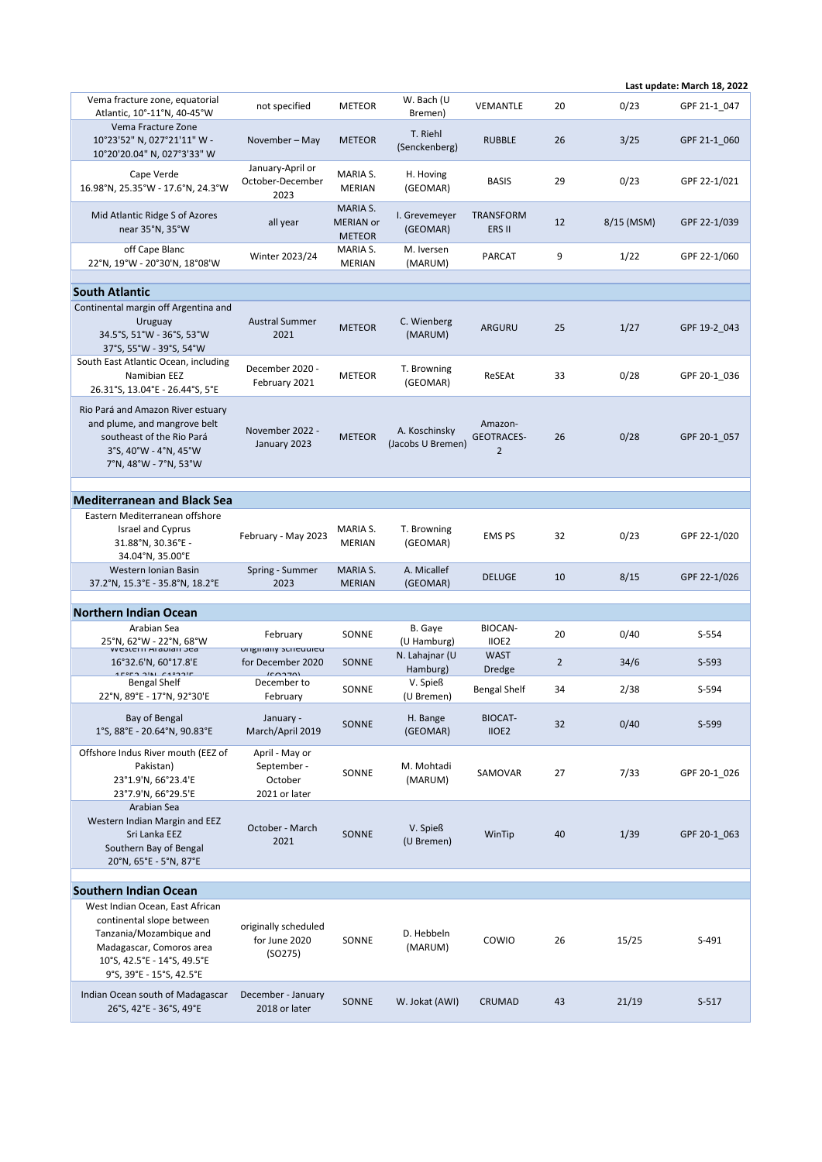|                                                                                                                                                                                |                                                           |                                                      |                                    |                                                |                |              | Last update: March 18, 2022 |
|--------------------------------------------------------------------------------------------------------------------------------------------------------------------------------|-----------------------------------------------------------|------------------------------------------------------|------------------------------------|------------------------------------------------|----------------|--------------|-----------------------------|
| Vema fracture zone, equatorial<br>Atlantic, 10°-11°N, 40-45°W                                                                                                                  | not specified                                             | <b>METEOR</b>                                        | W. Bach (U<br>Bremen)              | VEMANTLE                                       | 20             | 0/23         | GPF 21-1 047                |
| Vema Fracture Zone<br>10°23'52" N, 027°21'11" W -<br>10°20'20.04" N, 027°3'33" W                                                                                               | November – May                                            | <b>METEOR</b>                                        | T. Riehl<br>(Senckenberg)          | <b>RUBBLE</b>                                  | 26             | 3/25         | GPF 21-1_060                |
| Cape Verde<br>16.98°N, 25.35°W - 17.6°N, 24.3°W                                                                                                                                | January-April or<br>October-December<br>2023              | MARIA S.<br>MERIAN                                   | H. Hoving<br>(GEOMAR)              | BASIS                                          | 29             | 0/23         | GPF 22-1/021                |
| Mid Atlantic Ridge S of Azores<br>near 35°N, 35°W                                                                                                                              | all year                                                  | <b>MARIA S.</b><br><b>MERIAN</b> or<br><b>METEOR</b> | I. Grevemeyer<br>(GEOMAR)          | <b>TRANSFORM</b><br>ERS II                     | 12             | $8/15$ (MSM) | GPF 22-1/039                |
| off Cape Blanc<br>22°N, 19°W - 20°30'N, 18°08'W                                                                                                                                | Winter 2023/24                                            | MARIA S.<br><b>MERIAN</b>                            | M. Iversen<br>(MARUM)              | PARCAT                                         | 9              | 1/22         | GPF 22-1/060                |
|                                                                                                                                                                                |                                                           |                                                      |                                    |                                                |                |              |                             |
| <b>South Atlantic</b>                                                                                                                                                          |                                                           |                                                      |                                    |                                                |                |              |                             |
| Continental margin off Argentina and<br>Uruguay<br>34.5°S, 51°W - 36°S, 53°W<br>37°S, 55°W - 39°S, 54°W                                                                        | <b>Austral Summer</b><br>2021                             | <b>METEOR</b>                                        | C. Wienberg<br>(MARUM)             | <b>ARGURU</b>                                  | 25             | 1/27         | GPF 19-2 043                |
| South East Atlantic Ocean, including<br>Namibian EEZ<br>26.31°S, 13.04°E - 26.44°S, 5°E                                                                                        | December 2020 -<br>February 2021                          | <b>METEOR</b>                                        | T. Browning<br>(GEOMAR)            | ReSEAt                                         | 33             | 0/28         | GPF 20-1 036                |
| Rio Pará and Amazon River estuary<br>and plume, and mangrove belt<br>southeast of the Rio Pará<br>$3°$ S, $40°$ W - $4°$ N, $45°$ W<br>7°N, 48°W - 7°N, 53°W                   | November 2022 -<br>January 2023                           | <b>METEOR</b>                                        | A. Koschinsky<br>(Jacobs U Bremen) | Amazon-<br><b>GEOTRACES-</b><br>$\overline{2}$ | 26             | 0/28         | GPF 20-1 057                |
|                                                                                                                                                                                |                                                           |                                                      |                                    |                                                |                |              |                             |
| <b>Mediterranean and Black Sea</b>                                                                                                                                             |                                                           |                                                      |                                    |                                                |                |              |                             |
| Eastern Mediterranean offshore<br><b>Israel and Cyprus</b><br>31.88°N, 30.36°E -<br>34.04°N, 35.00°E                                                                           | February - May 2023                                       | MARIA S.<br><b>MERIAN</b>                            | T. Browning<br>(GEOMAR)            | <b>EMS PS</b>                                  | 32             | 0/23         | GPF 22-1/020                |
| Western Ionian Basin<br>37.2°N, 15.3°E - 35.8°N, 18.2°E                                                                                                                        | Spring - Summer<br>2023                                   | MARIA S.<br><b>MERIAN</b>                            | A. Micallef<br>(GEOMAR)            | <b>DELUGE</b>                                  | 10             | 8/15         | GPF 22-1/026                |
| <b>Northern Indian Ocean</b>                                                                                                                                                   |                                                           |                                                      |                                    |                                                |                |              |                             |
| Arabian Sea                                                                                                                                                                    |                                                           |                                                      | B. Gaye                            | BIOCAN-                                        |                |              |                             |
| 25°N, 62°W - 22°N, 68°W                                                                                                                                                        | February                                                  | SONNE                                                | (U Hamburg)                        | IIOE2                                          | 20             | 0/40         | S-554                       |
| VVCSLCIII MIQUIQII JCQ<br>16°32.6'N, 60°17.8'E<br>$00 = 21 + 22 + 23 + 24$                                                                                                     | <b>Ungmany Suncuulcu</b><br>for December 2020<br>(0.0270) | SONNE                                                | N. Lahajnar (U<br>Hamburg)         | <b>WAST</b><br><b>Dredge</b>                   | $\overline{2}$ | 34/6         | $S-593$                     |
| Bengal Shelf<br>22°N, 89°E - 17°N, 92°30'E                                                                                                                                     | December to<br>February                                   | SONNE                                                | V. Spieß<br>(U Bremen)             | Bengal Shelf                                   | 34             | 2/38         | S-594                       |
| Bay of Bengal<br>1°S, 88°E - 20.64°N, 90.83°E                                                                                                                                  | January -<br>March/April 2019                             | SONNE                                                | H. Bange<br>(GEOMAR)               | <b>BIOCAT-</b><br>IIOE <sub>2</sub>            | 32             | 0/40         | S-599                       |
| Offshore Indus River mouth (EEZ of<br>Pakistan)<br>23°1.9'N, 66°23.4'E<br>23°7.9'N, 66°29.5'E                                                                                  | April - May or<br>September -<br>October<br>2021 or later | SONNE                                                | M. Mohtadi<br>(MARUM)              | SAMOVAR                                        | 27             | 7/33         | GPF 20-1 026                |
| Arabian Sea<br>Western Indian Margin and EEZ<br>Sri Lanka EEZ<br>Southern Bay of Bengal<br>20°N, 65°E - 5°N, 87°E                                                              | October - March<br>2021                                   | SONNE                                                | V. Spieß<br>(U Bremen)             | WinTip                                         | 40             | 1/39         | GPF 20-1 063                |
| <b>Southern Indian Ocean</b>                                                                                                                                                   |                                                           |                                                      |                                    |                                                |                |              |                             |
| West Indian Ocean, East African<br>continental slope between<br>Tanzania/Mozambique and<br>Madagascar, Comoros area<br>10°S, 42.5°E - 14°S, 49.5°E<br>9°S, 39°E - 15°S, 42.5°E | originally scheduled<br>for June 2020<br>(SO275)          | SONNE                                                | D. Hebbeln<br>(MARUM)              | COWIO                                          | 26             | 15/25        | $S-491$                     |
| Indian Ocean south of Madagascar<br>26°S, 42°E - 36°S, 49°E                                                                                                                    | December - January<br>2018 or later                       | SONNE                                                | W. Jokat (AWI)                     | CRUMAD                                         | 43             | 21/19        | $S-517$                     |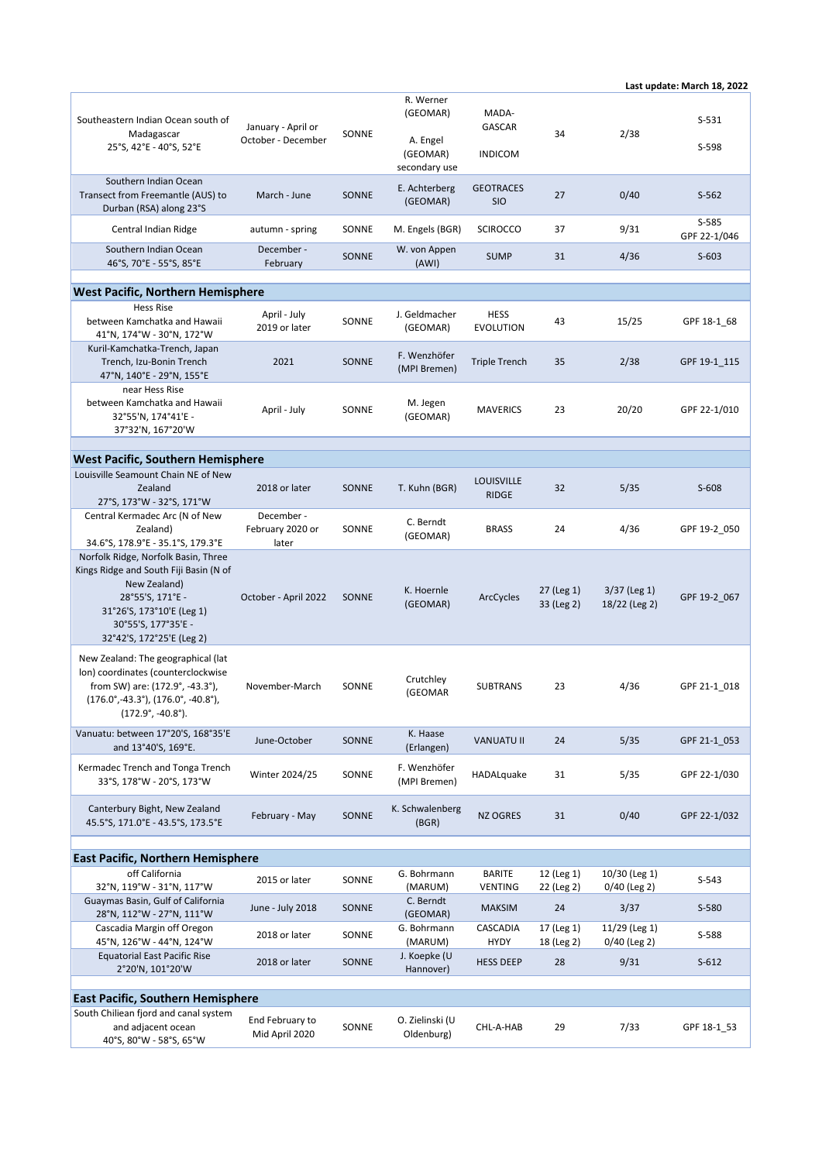## **Last update: March 18, 2022**

|                                                                                                                                                                                                           |                                         |              | R. Werner<br>(GEOMAR)                 | MADA-                             |                          |                                 |                       |  |
|-----------------------------------------------------------------------------------------------------------------------------------------------------------------------------------------------------------|-----------------------------------------|--------------|---------------------------------------|-----------------------------------|--------------------------|---------------------------------|-----------------------|--|
| Southeastern Indian Ocean south of<br>Madagascar                                                                                                                                                          | January - April or                      | SONNE        |                                       | GASCAR                            | 34                       | 2/38                            | $S-531$               |  |
| 25°S, 42°E - 40°S, 52°E                                                                                                                                                                                   | October - December                      |              | A. Engel<br>(GEOMAR)<br>secondary use | <b>INDICOM</b>                    |                          |                                 | S-598                 |  |
| Southern Indian Ocean<br>Transect from Freemantle (AUS) to<br>Durban (RSA) along 23°S                                                                                                                     | March - June                            | SONNE        | E. Achterberg<br>(GEOMAR)             | <b>GEOTRACES</b><br><b>SIO</b>    | 27                       | 0/40                            | $S-562$               |  |
| Central Indian Ridge                                                                                                                                                                                      | autumn - spring                         | SONNE        | M. Engels (BGR)                       | <b>SCIROCCO</b>                   | 37                       | 9/31                            | S-585<br>GPF 22-1/046 |  |
| Southern Indian Ocean<br>46°S, 70°E - 55°S, 85°E                                                                                                                                                          | December -<br>February                  | SONNE        | W. von Appen<br>(AWI)                 | <b>SUMP</b>                       | 31                       | 4/36                            | $S-603$               |  |
|                                                                                                                                                                                                           |                                         |              |                                       |                                   |                          |                                 |                       |  |
| <b>West Pacific, Northern Hemisphere</b>                                                                                                                                                                  |                                         |              |                                       |                                   |                          |                                 |                       |  |
| <b>Hess Rise</b><br>between Kamchatka and Hawaii<br>41°N, 174°W - 30°N, 172°W                                                                                                                             | April - July<br>2019 or later           | SONNE        | J. Geldmacher<br>(GEOMAR)             | <b>HESS</b><br><b>EVOLUTION</b>   | 43                       | 15/25                           | GPF 18-1 68           |  |
| Kuril-Kamchatka-Trench, Japan<br>Trench, Izu-Bonin Trench<br>47°N, 140°E - 29°N, 155°E                                                                                                                    | 2021                                    | SONNE        | F. Wenzhöfer<br>(MPI Bremen)          | <b>Triple Trench</b>              | 35                       | 2/38                            | GPF 19-1_115          |  |
| near Hess Rise<br>between Kamchatka and Hawaii<br>32°55'N, 174°41'E -<br>37°32'N, 167°20'W                                                                                                                | April - July                            | SONNE        | M. Jegen<br>(GEOMAR)                  | <b>MAVERICS</b>                   | 23                       | 20/20                           | GPF 22-1/010          |  |
|                                                                                                                                                                                                           |                                         |              |                                       |                                   |                          |                                 |                       |  |
| West Pacific, Southern Hemisphere<br>Louisville Seamount Chain NE of New                                                                                                                                  |                                         |              |                                       |                                   |                          |                                 |                       |  |
| Zealand<br>27°S, 173°W - 32°S, 171°W                                                                                                                                                                      | 2018 or later                           | SONNE        | T. Kuhn (BGR)                         | <b>LOUISVILLE</b><br><b>RIDGE</b> | 32                       | 5/35                            | $S-608$               |  |
| Central Kermadec Arc (N of New<br>Zealand)<br>34.6°S, 178.9°E - 35.1°S, 179.3°E                                                                                                                           | December -<br>February 2020 or<br>later | SONNE        | C. Berndt<br>(GEOMAR)                 | <b>BRASS</b>                      | 24                       | 4/36                            | GPF 19-2_050          |  |
| Norfolk Ridge, Norfolk Basin, Three<br>Kings Ridge and South Fiji Basin (N of<br>New Zealand)<br>28°55'S, 171°E -<br>31°26'S, 173°10'E (Leg 1)<br>30°55'S, 177°35'E -<br>32°42'S, 172°25'E (Leg 2)        | October - April 2022                    | <b>SONNE</b> | K. Hoernle<br>(GEOMAR)                | ArcCycles                         | 27 (Leg 1)<br>33 (Leg 2) | $3/37$ (Leg 1)<br>18/22 (Leg 2) | GPF 19-2 067          |  |
| New Zealand: The geographical (lat<br>lon) coordinates (counterclockwise<br>from SW) are: (172.9°, -43.3°),<br>$(176.0^{\circ}, -43.3^{\circ})$ , $(176.0^{\circ}, -40.8^{\circ})$ ,<br>(172.9°, -40.8°). | November-March                          | SONNE        | Crutchley<br>(GEOMAR                  | <b>SUBTRANS</b>                   | 23                       | 4/36                            | GPF 21-1 018          |  |
| Vanuatu: between 17°20'S, 168°35'E<br>and 13°40'S, 169°E.                                                                                                                                                 | June-October                            | SONNE        | K. Haase<br>(Erlangen)                | <b>VANUATU II</b>                 | 24                       | 5/35                            | GPF 21-1_053          |  |
| Kermadec Trench and Tonga Trench<br>33°S, 178°W - 20°S, 173°W                                                                                                                                             | Winter 2024/25                          | SONNE        | F. Wenzhöfer<br>(MPI Bremen)          | HADALquake                        | 31                       | 5/35                            | GPF 22-1/030          |  |
| Canterbury Bight, New Zealand<br>45.5°S, 171.0°E - 43.5°S, 173.5°E                                                                                                                                        | February - May                          | SONNE        | K. Schwalenberg<br>(BGR)              | <b>NZ OGRES</b>                   | 31                       | 0/40                            | GPF 22-1/032          |  |
| <b>East Pacific, Northern Hemisphere</b>                                                                                                                                                                  |                                         |              |                                       |                                   |                          |                                 |                       |  |
| off California                                                                                                                                                                                            | 2015 or later                           | SONNE        | G. Bohrmann                           | <b>BARITE</b>                     | 12 (Leg 1)               | 10/30 (Leg 1)                   | $S-543$               |  |
| 32°N, 119°W - 31°N, 117°W<br>Guaymas Basin, Gulf of California                                                                                                                                            |                                         |              | (MARUM)<br>C. Berndt                  | VENTING                           | 22 (Leg 2)               | 0/40 (Leg 2)                    |                       |  |
| 28°N, 112°W - 27°N, 111°W                                                                                                                                                                                 | June - July 2018                        | SONNE        | (GEOMAR)                              | <b>MAKSIM</b>                     | 24                       | 3/37                            | S-580                 |  |
| Cascadia Margin off Oregon<br>45°N, 126°W - 44°N, 124°W                                                                                                                                                   | 2018 or later                           | SONNE        | G. Bohrmann<br>(MARUM)                | CASCADIA<br><b>HYDY</b>           | 17 (Leg 1)<br>18 (Leg 2) | 11/29 (Leg 1)<br>0/40 (Leg 2)   | S-588                 |  |
| <b>Equatorial East Pacific Rise</b><br>2°20'N, 101°20'W                                                                                                                                                   | 2018 or later                           | SONNE        | J. Koepke (U<br>Hannover)             | <b>HESS DEEP</b>                  | 28                       | 9/31                            | $S-612$               |  |
| <b>East Pacific, Southern Hemisphere</b>                                                                                                                                                                  |                                         |              |                                       |                                   |                          |                                 |                       |  |
| South Chiliean fjord and canal system                                                                                                                                                                     |                                         |              |                                       |                                   |                          |                                 |                       |  |
| and adjacent ocean<br>40°S, 80°W - 58°S, 65°W                                                                                                                                                             | End February to<br>Mid April 2020       | SONNE        | O. Zielinski (U<br>Oldenburg)         | CHL-A-HAB                         | 29                       | 7/33                            | GPF 18-1 53           |  |